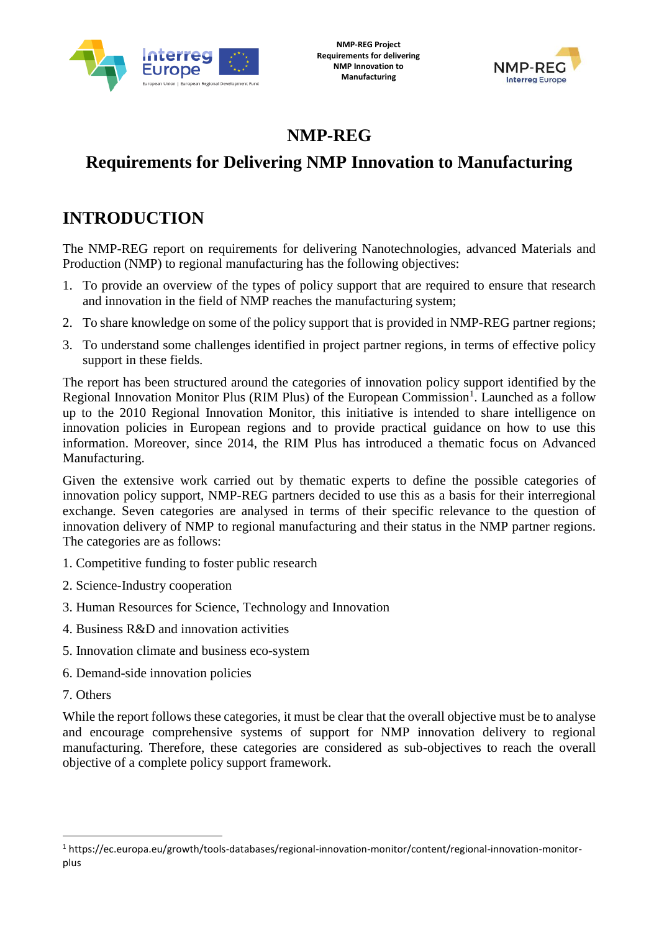



# **NMP-REG**

# **Requirements for Delivering NMP Innovation to Manufacturing**

# **INTRODUCTION**

The NMP-REG report on requirements for delivering Nanotechnologies, advanced Materials and Production (NMP) to regional manufacturing has the following objectives:

- 1. To provide an overview of the types of policy support that are required to ensure that research and innovation in the field of NMP reaches the manufacturing system;
- 2. To share knowledge on some of the policy support that is provided in NMP-REG partner regions;
- 3. To understand some challenges identified in project partner regions, in terms of effective policy support in these fields.

The report has been structured around the categories of innovation policy support identified by the Regional Innovation Monitor Plus (RIM Plus) of the European Commission<sup>1</sup>. Launched as a follow up to the 2010 Regional Innovation Monitor, this initiative is intended to share intelligence on innovation policies in European regions and to provide practical guidance on how to use this information. Moreover, since 2014, the RIM Plus has introduced a thematic focus on Advanced Manufacturing.

Given the extensive work carried out by thematic experts to define the possible categories of innovation policy support, NMP-REG partners decided to use this as a basis for their interregional exchange. Seven categories are analysed in terms of their specific relevance to the question of innovation delivery of NMP to regional manufacturing and their status in the NMP partner regions. The categories are as follows:

- 1. Competitive funding to foster public research
- 2. Science-Industry cooperation
- 3. Human Resources for Science, Technology and Innovation
- 4. Business R&D and innovation activities
- 5. Innovation climate and business eco-system
- 6. Demand-side innovation policies
- 7. Others

**.** 

While the report follows these categories, it must be clear that the overall objective must be to analyse and encourage comprehensive systems of support for NMP innovation delivery to regional manufacturing. Therefore, these categories are considered as sub-objectives to reach the overall objective of a complete policy support framework.

<sup>1</sup> https://ec.europa.eu/growth/tools-databases/regional-innovation-monitor/content/regional-innovation-monitorplus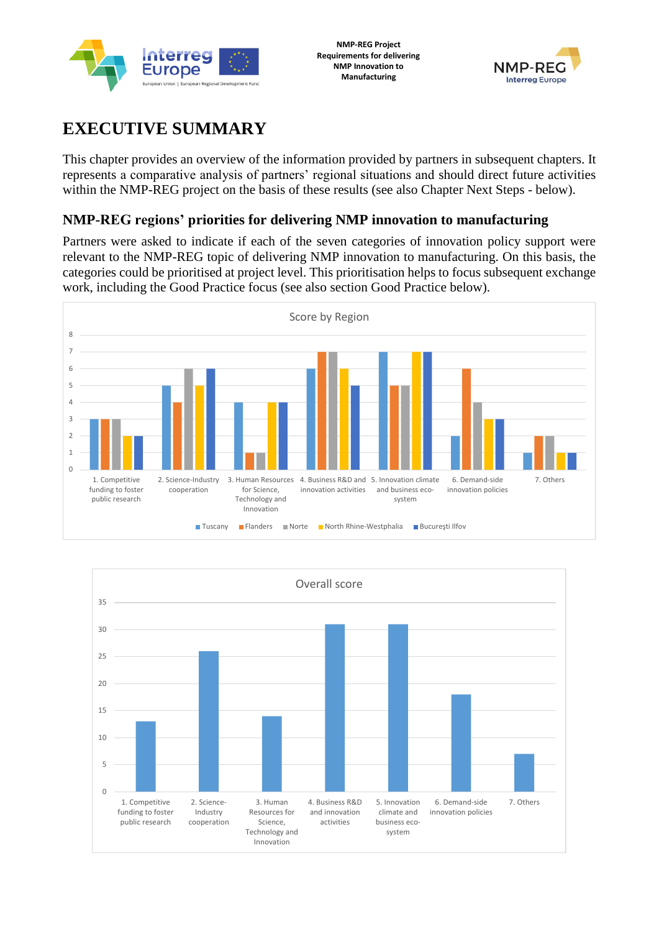



# **EXECUTIVE SUMMARY**

This chapter provides an overview of the information provided by partners in subsequent chapters. It represents a comparative analysis of partners' regional situations and should direct future activities within the NMP-REG project on the basis of these results (see also Chapter Next Steps - below).

### **NMP-REG regions' priorities for delivering NMP innovation to manufacturing**

Partners were asked to indicate if each of the seven categories of innovation policy support were relevant to the NMP-REG topic of delivering NMP innovation to manufacturing. On this basis, the categories could be prioritised at project level. This prioritisation helps to focus subsequent exchange work, including the Good Practice focus (see also section Good Practice below).



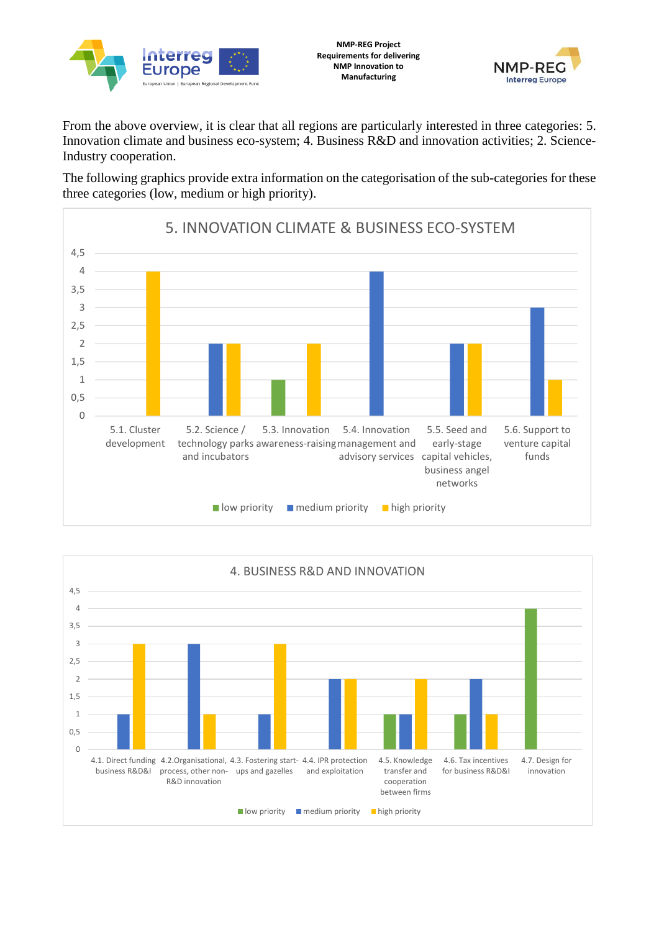



From the above overview, it is clear that all regions are particularly interested in three categories: 5. Innovation climate and business eco-system; 4. Business R&D and innovation activities; 2. Science-Industry cooperation.

The following graphics provide extra information on the categorisation of the sub-categories for these three categories (low, medium or high priority).



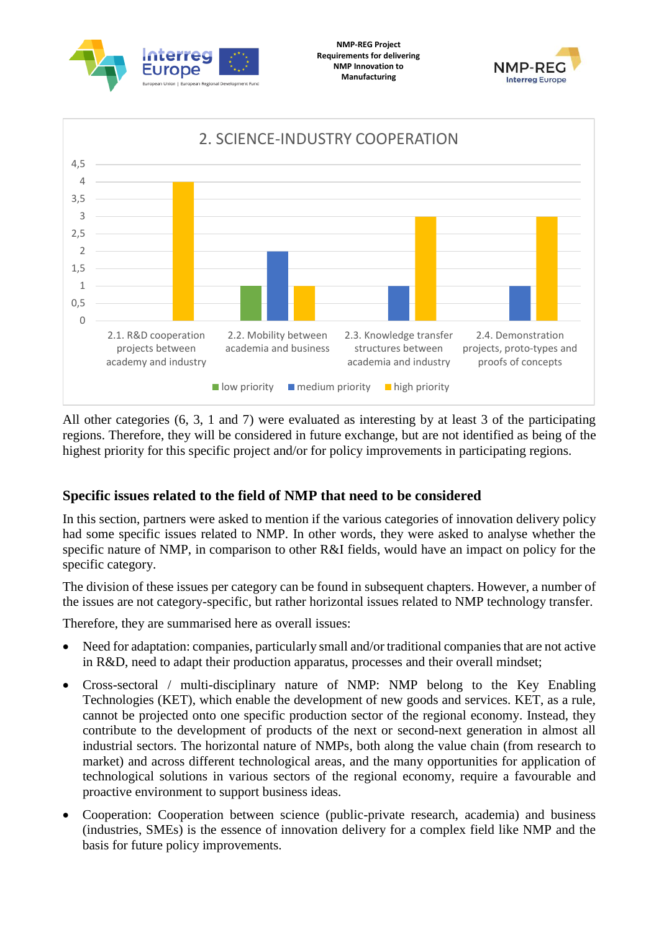





All other categories (6, 3, 1 and 7) were evaluated as interesting by at least 3 of the participating regions. Therefore, they will be considered in future exchange, but are not identified as being of the highest priority for this specific project and/or for policy improvements in participating regions.

### **Specific issues related to the field of NMP that need to be considered**

In this section, partners were asked to mention if the various categories of innovation delivery policy had some specific issues related to NMP. In other words, they were asked to analyse whether the specific nature of NMP, in comparison to other R&I fields, would have an impact on policy for the specific category.

The division of these issues per category can be found in subsequent chapters. However, a number of the issues are not category-specific, but rather horizontal issues related to NMP technology transfer.

Therefore, they are summarised here as overall issues:

- Need for adaptation: companies, particularly small and/or traditional companies that are not active in R&D, need to adapt their production apparatus, processes and their overall mindset;
- Cross-sectoral / multi-disciplinary nature of NMP: NMP belong to the Key Enabling Technologies (KET), which enable the development of new goods and services. KET, as a rule, cannot be projected onto one specific production sector of the regional economy. Instead, they contribute to the development of products of the next or second-next generation in almost all industrial sectors. The horizontal nature of NMPs, both along the value chain (from research to market) and across different technological areas, and the many opportunities for application of technological solutions in various sectors of the regional economy, require a favourable and proactive environment to support business ideas.
- Cooperation: Cooperation between science (public-private research, academia) and business (industries, SMEs) is the essence of innovation delivery for a complex field like NMP and the basis for future policy improvements.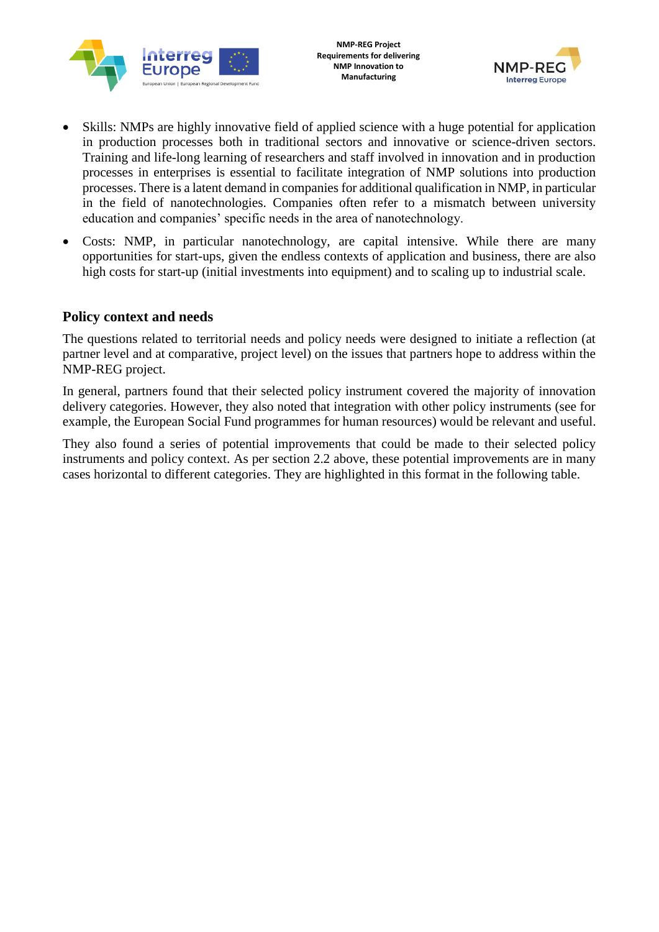



- Skills: NMPs are highly innovative field of applied science with a huge potential for application in production processes both in traditional sectors and innovative or science-driven sectors. Training and life-long learning of researchers and staff involved in innovation and in production processes in enterprises is essential to facilitate integration of NMP solutions into production processes. There is a latent demand in companies for additional qualification in NMP, in particular in the field of nanotechnologies. Companies often refer to a mismatch between university education and companies' specific needs in the area of nanotechnology.
- Costs: NMP, in particular nanotechnology, are capital intensive. While there are many opportunities for start-ups, given the endless contexts of application and business, there are also high costs for start-up (initial investments into equipment) and to scaling up to industrial scale.

#### **Policy context and needs**

The questions related to territorial needs and policy needs were designed to initiate a reflection (at partner level and at comparative, project level) on the issues that partners hope to address within the NMP-REG project.

In general, partners found that their selected policy instrument covered the majority of innovation delivery categories. However, they also noted that integration with other policy instruments (see for example, the European Social Fund programmes for human resources) would be relevant and useful.

They also found a series of potential improvements that could be made to their selected policy instruments and policy context. As per section 2.2 above, these potential improvements are in many cases horizontal to different categories. They are highlighted in this format in the following table.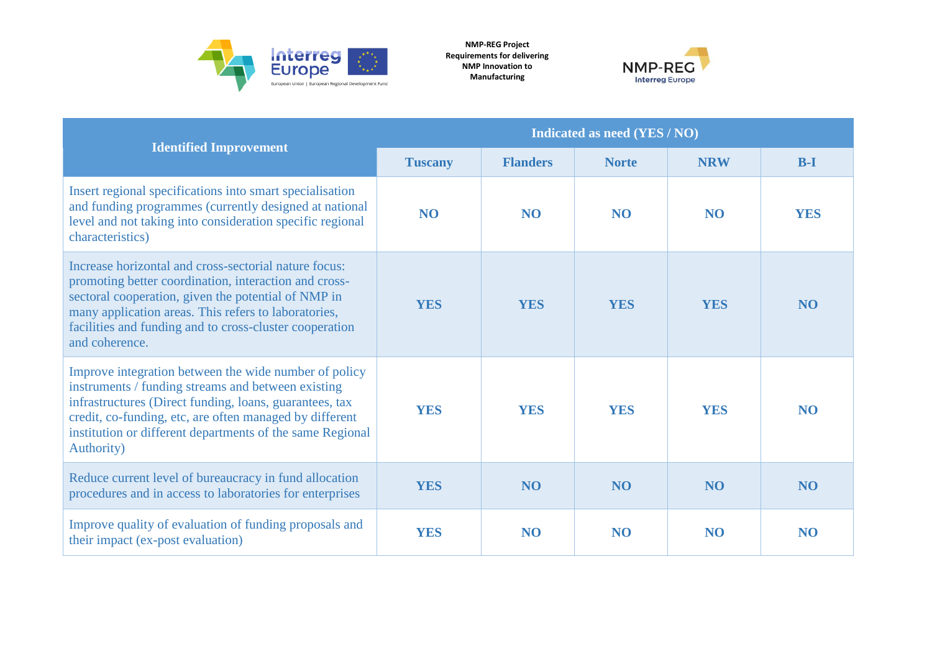

**NMP-REG Project Requirements for delivering NMP Innovation to Manufacturing**



|                                                                                                                                                                                                                                                                                                              | <b>Indicated as need (YES / NO)</b> |                 |                |                 |                |  |
|--------------------------------------------------------------------------------------------------------------------------------------------------------------------------------------------------------------------------------------------------------------------------------------------------------------|-------------------------------------|-----------------|----------------|-----------------|----------------|--|
| <b>Identified Improvement</b>                                                                                                                                                                                                                                                                                | <b>Tuscany</b>                      | <b>Flanders</b> | <b>Norte</b>   | <b>NRW</b>      | $B-I$          |  |
| Insert regional specifications into smart specialisation<br>and funding programmes (currently designed at national<br>level and not taking into consideration specific regional<br>characteristics)                                                                                                          | N <sub>O</sub>                      | <b>NO</b>       | <b>NO</b>      | <b>NO</b>       | <b>YES</b>     |  |
| Increase horizontal and cross-sectorial nature focus:<br>promoting better coordination, interaction and cross-<br>sectoral cooperation, given the potential of NMP in<br>many application areas. This refers to laboratories,<br>facilities and funding and to cross-cluster cooperation<br>and coherence.   | <b>YES</b>                          | <b>YES</b>      | <b>YES</b>     | <b>YES</b>      | N <sub>O</sub> |  |
| Improve integration between the wide number of policy<br>instruments / funding streams and between existing<br>infrastructures (Direct funding, loans, guarantees, tax<br>credit, co-funding, etc, are often managed by different<br>institution or different departments of the same Regional<br>Authority) | <b>YES</b>                          | <b>YES</b>      | <b>YES</b>     | <b>YES</b>      | <b>NO</b>      |  |
| Reduce current level of bureaucracy in fund allocation<br>procedures and in access to laboratories for enterprises                                                                                                                                                                                           | <b>YES</b>                          | N <sub>O</sub>  | N <sub>O</sub> | NO <sub>1</sub> | N <sub>O</sub> |  |
| Improve quality of evaluation of funding proposals and<br>their impact (ex-post evaluation)                                                                                                                                                                                                                  | <b>YES</b>                          | N <sub>O</sub>  | N <sub>O</sub> | N <sub>O</sub>  | N <sub>O</sub> |  |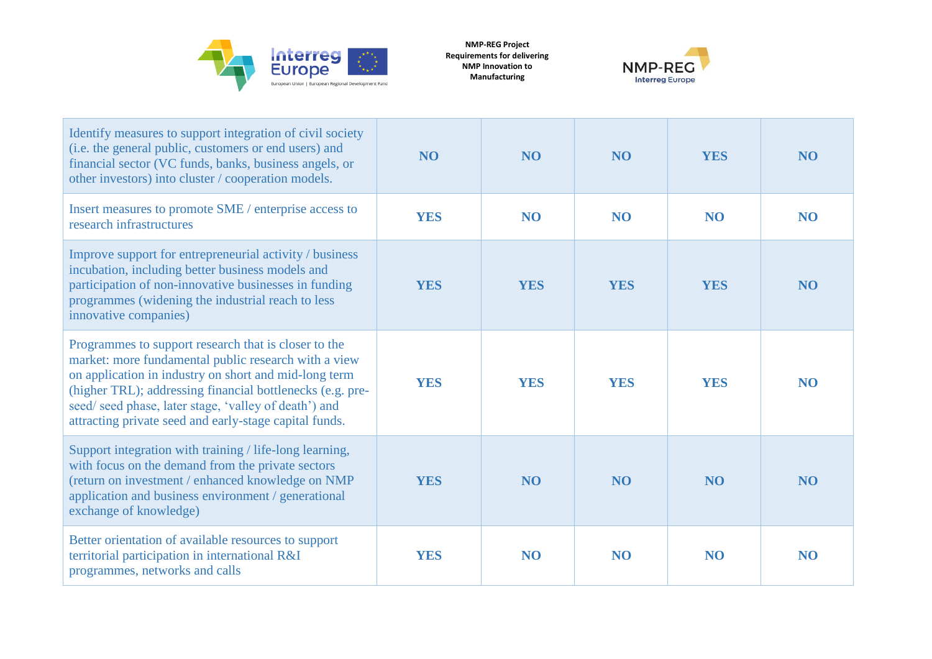

**NMP-REG Project Requirements for delivering NMP Innovation to Manufacturing**



| Identify measures to support integration of civil society<br>(i.e. the general public, customers or end users) and<br>financial sector (VC funds, banks, business angels, or<br>other investors) into cluster / cooperation models.                                                                                                                   | NO <sub>1</sub> | <b>NO</b>      | N <sub>O</sub> | <b>YES</b>     | N <sub>O</sub> |
|-------------------------------------------------------------------------------------------------------------------------------------------------------------------------------------------------------------------------------------------------------------------------------------------------------------------------------------------------------|-----------------|----------------|----------------|----------------|----------------|
| Insert measures to promote SME / enterprise access to<br>research infrastructures                                                                                                                                                                                                                                                                     | <b>YES</b>      | <b>NO</b>      | <b>NO</b>      | <b>NO</b>      | <b>NO</b>      |
| Improve support for entrepreneurial activity / business<br>incubation, including better business models and<br>participation of non-innovative businesses in funding<br>programmes (widening the industrial reach to less<br>innovative companies)                                                                                                    | <b>YES</b>      | <b>YES</b>     | <b>YES</b>     | <b>YES</b>     | N <sub>O</sub> |
| Programmes to support research that is closer to the<br>market: more fundamental public research with a view<br>on application in industry on short and mid-long term<br>(higher TRL); addressing financial bottlenecks (e.g. pre-<br>seed/ seed phase, later stage, 'valley of death') and<br>attracting private seed and early-stage capital funds. | <b>YES</b>      | <b>YES</b>     | <b>YES</b>     | <b>YES</b>     | N <sub>O</sub> |
| Support integration with training / life-long learning,<br>with focus on the demand from the private sectors<br>(return on investment / enhanced knowledge on NMP<br>application and business environment / generational<br>exchange of knowledge)                                                                                                    | <b>YES</b>      | N <sub>O</sub> | N <sub>O</sub> | N <sub>O</sub> | N <sub>O</sub> |
| Better orientation of available resources to support<br>territorial participation in international R&I<br>programmes, networks and calls                                                                                                                                                                                                              | <b>YES</b>      | <b>NO</b>      | <b>NO</b>      | <b>NO</b>      | N <sub>O</sub> |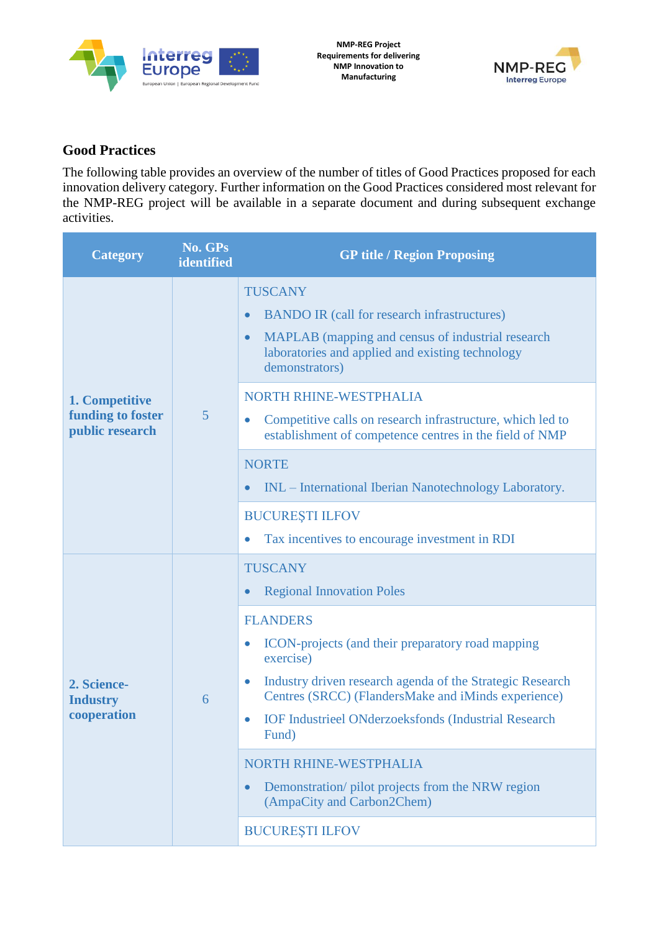



### **Good Practices**

The following table provides an overview of the number of titles of Good Practices proposed for each innovation delivery category. Further information on the Good Practices considered most relevant for the NMP-REG project will be available in a separate document and during subsequent exchange activities.

| <b>Category</b>                                        | No. GPs<br>identified | <b>GP title / Region Proposing</b>                                                                                                                                                                                                                                                                                                                                            |  |  |
|--------------------------------------------------------|-----------------------|-------------------------------------------------------------------------------------------------------------------------------------------------------------------------------------------------------------------------------------------------------------------------------------------------------------------------------------------------------------------------------|--|--|
| 1. Competitive<br>funding to foster<br>public research | $\overline{5}$        | <b>TUSCANY</b><br><b>BANDO IR (call for research infrastructures)</b><br>MAPLAB (mapping and census of industrial research<br>$\bullet$<br>laboratories and applied and existing technology<br>demonstrators)<br>NORTH RHINE-WESTPHALIA<br>Competitive calls on research infrastructure, which led to<br>$\bullet$<br>establishment of competence centres in the field of NMP |  |  |
|                                                        |                       | <b>NORTE</b><br>INL – International Iberian Nanotechnology Laboratory.<br><b>BUCURESTI ILFOV</b><br>Tax incentives to encourage investment in RDI                                                                                                                                                                                                                             |  |  |
|                                                        | 6                     | <b>TUSCANY</b><br><b>Regional Innovation Poles</b>                                                                                                                                                                                                                                                                                                                            |  |  |
| 2. Science-<br><b>Industry</b><br>cooperation          |                       | <b>FLANDERS</b><br>ICON-projects (and their preparatory road mapping<br>$\bullet$<br>exercise)<br>Industry driven research agenda of the Strategic Research<br>Centres (SRCC) (FlandersMake and iMinds experience)<br><b>IOF Industrieel ONderzoeksfonds (Industrial Research</b><br>Fund)<br>NORTH RHINE-WESTPHALIA                                                          |  |  |
|                                                        |                       | Demonstration/ pilot projects from the NRW region<br>(AmpaCity and Carbon2Chem)                                                                                                                                                                                                                                                                                               |  |  |
|                                                        |                       | <b>BUCUREȘTI ILFOV</b>                                                                                                                                                                                                                                                                                                                                                        |  |  |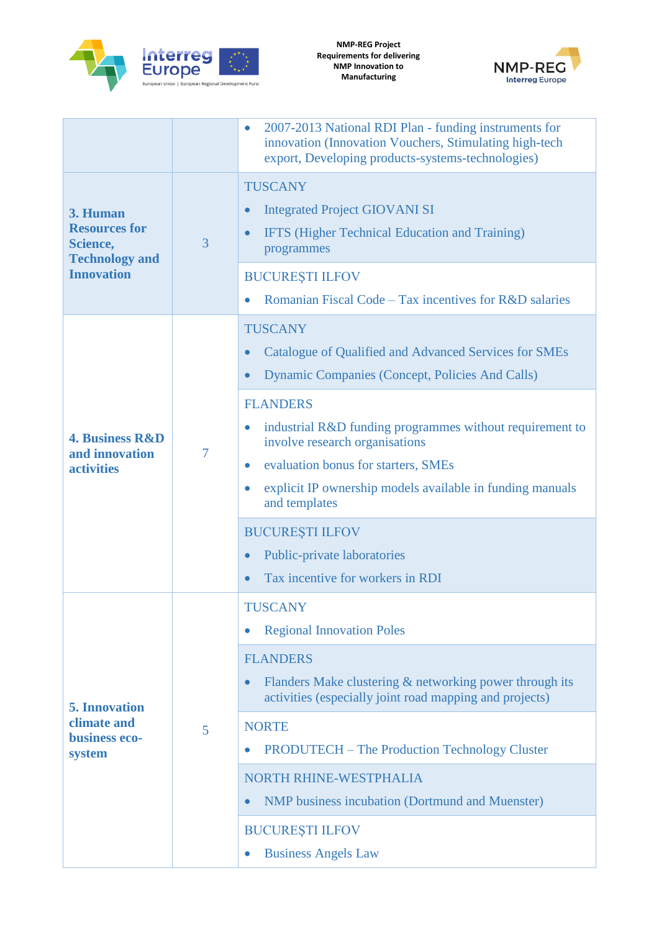



|                                                                                                 |   | 2007-2013 National RDI Plan - funding instruments for<br>innovation (Innovation Vouchers, Stimulating high-tech<br>export, Developing products-systems-technologies)                                                                                                                                                                                                                                                                                                                                                                               |
|-------------------------------------------------------------------------------------------------|---|----------------------------------------------------------------------------------------------------------------------------------------------------------------------------------------------------------------------------------------------------------------------------------------------------------------------------------------------------------------------------------------------------------------------------------------------------------------------------------------------------------------------------------------------------|
| 3. Human<br><b>Resources for</b><br>3<br>Science,<br><b>Technology and</b><br><b>Innovation</b> |   | <b>TUSCANY</b><br><b>Integrated Project GIOVANI SI</b><br>$\bullet$<br>IFTS (Higher Technical Education and Training)<br>$\bullet$<br>programmes<br><b>BUCUREȘTI ILFOV</b><br>Romanian Fiscal Code – Tax incentives for R&D salaries                                                                                                                                                                                                                                                                                                               |
| <b>4. Business R&amp;D</b><br>and innovation<br><b>activities</b>                               | 7 | <b>TUSCANY</b><br>Catalogue of Qualified and Advanced Services for SMEs<br>$\bullet$<br><b>Dynamic Companies (Concept, Policies And Calls)</b><br>$\bullet$<br><b>FLANDERS</b><br>industrial R&D funding programmes without requirement to<br>$\bullet$<br>involve research organisations<br>evaluation bonus for starters, SMEs<br>$\bullet$<br>explicit IP ownership models available in funding manuals<br>$\bullet$<br>and templates<br><b>BUCUREȘTI ILFOV</b><br>Public-private laboratories<br>$\bullet$<br>Tax incentive for workers in RDI |
| <b>5. Innovation</b><br>climate and<br>5<br>business eco-<br>system                             |   | <b>TUSCANY</b><br><b>Regional Innovation Poles</b><br><b>FLANDERS</b><br>Flanders Make clustering & networking power through its<br>$\bullet$<br>activities (especially joint road mapping and projects)<br><b>NORTE</b><br><b>PRODUTECH</b> – The Production Technology Cluster<br>$\bullet$<br>NORTH RHINE-WESTPHALIA<br><b>NMP</b> business incubation (Dortmund and Muenster)<br><b>BUCUREȘTI ILFOV</b><br><b>Business Angels Law</b>                                                                                                          |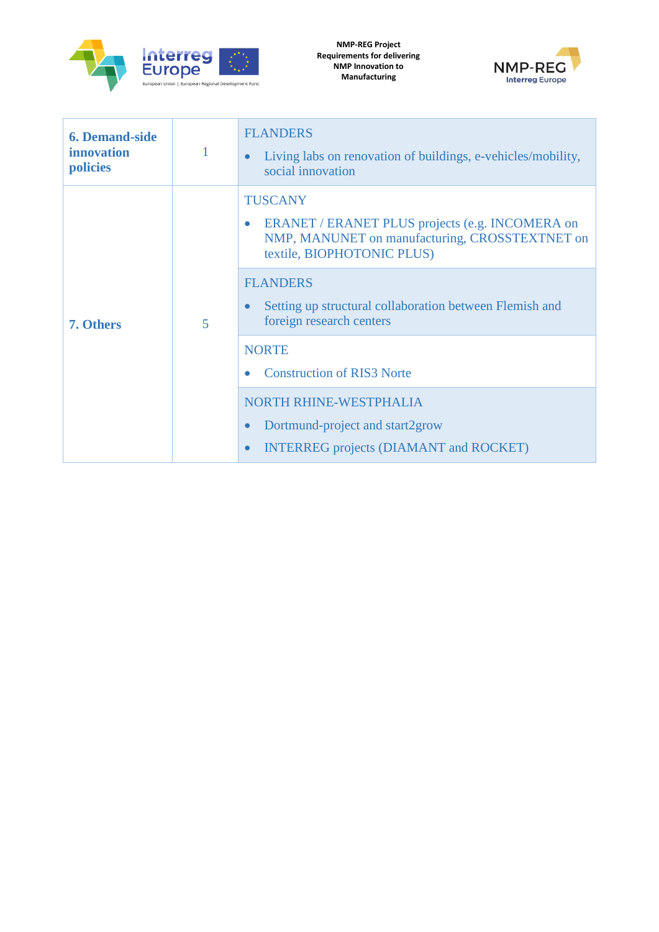



| <b>TUSCANY</b><br>ERANET / ERANET PLUS projects (e.g. INCOMERA on<br>$\bullet$<br>NMP, MANUNET on manufacturing, CROSSTEXTNET on<br>textile, BIOPHOTONIC PLUS)<br><b>FLANDERS</b><br>Setting up structural collaboration between Flemish and<br>$\bullet$<br>foreign research centers<br>5<br>7. Others<br><b>NORTE</b><br><b>Construction of RIS3 Norte</b><br>$\bullet$<br><b>NORTH RHINE-WESTPHALIA</b> | <b>6. Demand-side</b><br><i>innovation</i><br>policies | <b>FLANDERS</b><br>Living labs on renovation of buildings, e-vehicles/mobility,<br>$\bullet$<br>social innovation |
|------------------------------------------------------------------------------------------------------------------------------------------------------------------------------------------------------------------------------------------------------------------------------------------------------------------------------------------------------------------------------------------------------------|--------------------------------------------------------|-------------------------------------------------------------------------------------------------------------------|
| Dortmund-project and start2grow<br>$\bullet$<br><b>INTERREG</b> projects (DIAMANT and ROCKET)<br>$\bullet$                                                                                                                                                                                                                                                                                                 |                                                        |                                                                                                                   |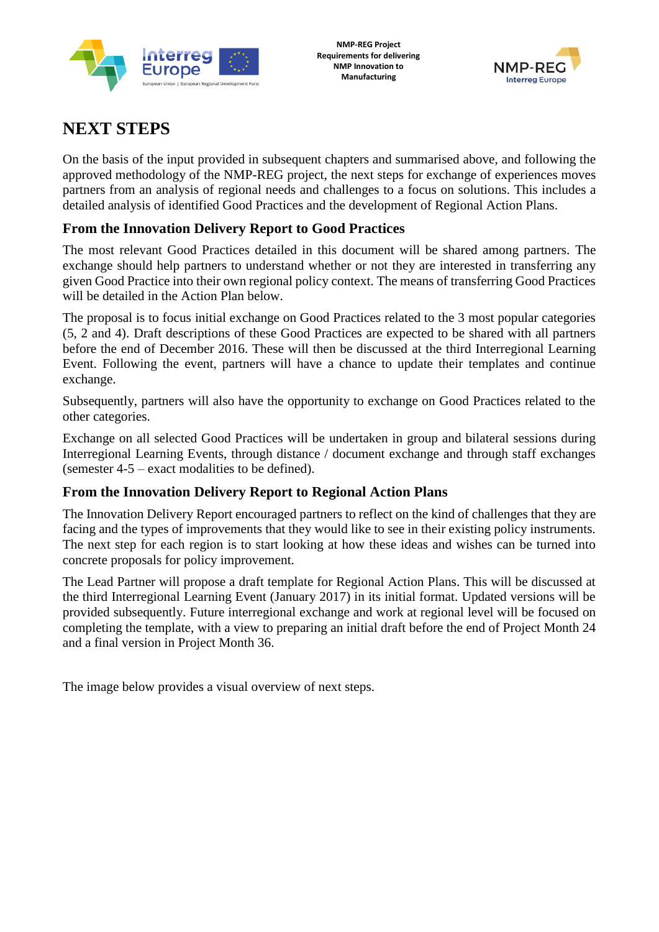



## **NEXT STEPS**

On the basis of the input provided in subsequent chapters and summarised above, and following the approved methodology of the NMP-REG project, the next steps for exchange of experiences moves partners from an analysis of regional needs and challenges to a focus on solutions. This includes a detailed analysis of identified Good Practices and the development of Regional Action Plans.

### **From the Innovation Delivery Report to Good Practices**

The most relevant Good Practices detailed in this document will be shared among partners. The exchange should help partners to understand whether or not they are interested in transferring any given Good Practice into their own regional policy context. The means of transferring Good Practices will be detailed in the Action Plan below.

The proposal is to focus initial exchange on Good Practices related to the 3 most popular categories (5, 2 and 4). Draft descriptions of these Good Practices are expected to be shared with all partners before the end of December 2016. These will then be discussed at the third Interregional Learning Event. Following the event, partners will have a chance to update their templates and continue exchange.

Subsequently, partners will also have the opportunity to exchange on Good Practices related to the other categories.

Exchange on all selected Good Practices will be undertaken in group and bilateral sessions during Interregional Learning Events, through distance / document exchange and through staff exchanges (semester 4-5 – exact modalities to be defined).

### **From the Innovation Delivery Report to Regional Action Plans**

The Innovation Delivery Report encouraged partners to reflect on the kind of challenges that they are facing and the types of improvements that they would like to see in their existing policy instruments. The next step for each region is to start looking at how these ideas and wishes can be turned into concrete proposals for policy improvement.

The Lead Partner will propose a draft template for Regional Action Plans. This will be discussed at the third Interregional Learning Event (January 2017) in its initial format. Updated versions will be provided subsequently. Future interregional exchange and work at regional level will be focused on completing the template, with a view to preparing an initial draft before the end of Project Month 24 and a final version in Project Month 36.

The image below provides a visual overview of next steps.